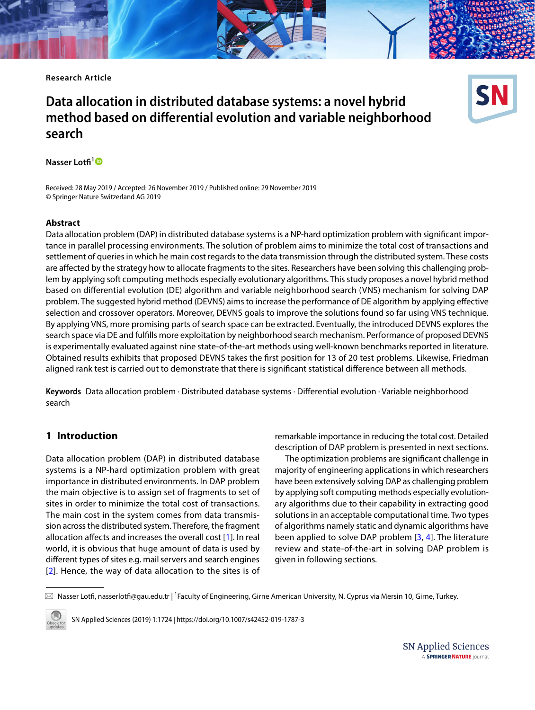**Research Article**

## **Data allocation in distributed database systems: a novel hybrid method based on diferential evolution and variable neighborhood search**



Received: 28 May 2019 / Accepted: 26 November 2019 / Published online: 29 November 2019 © Springer Nature Switzerland AG 2019

## **Abstract**

Data allocation problem (DAP) in distributed database systems is a NP-hard optimization problem with signifcant importance in parallel processing environments. The solution of problem aims to minimize the total cost of transactions and settlement of queries in which he main cost regards to the data transmission through the distributed system. These costs are afected by the strategy how to allocate fragments to the sites. Researchers have been solving this challenging problem by applying soft computing methods especially evolutionary algorithms. This study proposes a novel hybrid method based on diferential evolution (DE) algorithm and variable neighborhood search (VNS) mechanism for solving DAP problem. The suggested hybrid method (DEVNS) aims to increase the performance of DE algorithm by applying efective selection and crossover operators. Moreover, DEVNS goals to improve the solutions found so far using VNS technique. By applying VNS, more promising parts of search space can be extracted. Eventually, the introduced DEVNS explores the search space via DE and fulflls more exploitation by neighborhood search mechanism. Performance of proposed DEVNS is experimentally evaluated against nine state-of-the-art methods using well-known benchmarks reported in literature. Obtained results exhibits that proposed DEVNS takes the frst position for 13 of 20 test problems. Likewise, Friedman aligned rank test is carried out to demonstrate that there is signifcant statistical diference between all methods.

**Keywords** Data allocation problem · Distributed database systems · Diferential evolution · Variable neighborhood search

## **1 Introduction**

Data allocation problem (DAP) in distributed database systems is a NP-hard optimization problem with great importance in distributed environments. In DAP problem the main objective is to assign set of fragments to set of sites in order to minimize the total cost of transactions. The main cost in the system comes from data transmission across the distributed system. Therefore, the fragment allocation afects and increases the overall cost [\[1\]](#page-8-0). In real world, it is obvious that huge amount of data is used by diferent types of sites e.g. mail servers and search engines [[2](#page-8-1)]. Hence, the way of data allocation to the sites is of remarkable importance in reducing the total cost. Detailed description of DAP problem is presented in next sections.

The optimization problems are signifcant challenge in majority of engineering applications in which researchers have been extensively solving DAP as challenging problem by applying soft computing methods especially evolutionary algorithms due to their capability in extracting good solutions in an acceptable computational time. Two types of algorithms namely static and dynamic algorithms have been applied to solve DAP problem [\[3,](#page-8-2) [4\]](#page-8-3). The literature review and state-of-the-art in solving DAP problem is given in following sections.

 $\boxtimes$  Nasser Lotfi, nasserlotfi@gau.edu.tr | <sup>1</sup>Faculty of Engineering, Girne American University, N. Cyprus via Mersin 10, Girne, Turkey.



SN Applied Sciences (2019) 1:1724 | https://doi.org/10.1007/s42452-019-1787-3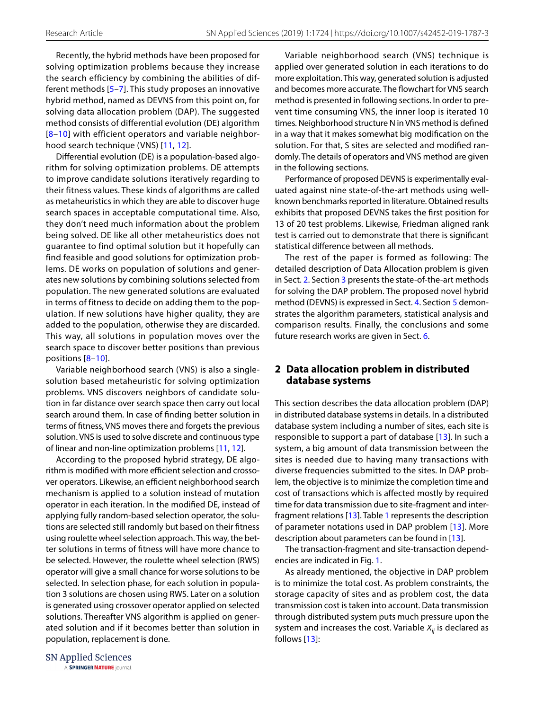Recently, the hybrid methods have been proposed for solving optimization problems because they increase the search efficiency by combining the abilities of different methods [[5](#page-8-4)[–7\]](#page-8-5). This study proposes an innovative hybrid method, named as DEVNS from this point on, for solving data allocation problem (DAP). The suggested method consists of differential evolution (DE) algorithm [[8–](#page-8-6)[10\]](#page-9-0) with efficient operators and variable neighborhood search technique (VNS) [[11,](#page-9-1) [12\]](#page-9-2).

Differential evolution (DE) is a population-based algorithm for solving optimization problems. DE attempts to improve candidate solutions iteratively regarding to their fitness values. These kinds of algorithms are called as metaheuristics in which they are able to discover huge search spaces in acceptable computational time. Also, they don't need much information about the problem being solved. DE like all other metaheuristics does not guarantee to find optimal solution but it hopefully can find feasible and good solutions for optimization problems. DE works on population of solutions and generates new solutions by combining solutions selected from population. The new generated solutions are evaluated in terms of fitness to decide on adding them to the population. If new solutions have higher quality, they are added to the population, otherwise they are discarded. This way, all solutions in population moves over the search space to discover better positions than previous positions [[8](#page-8-6)–[10](#page-9-0)].

Variable neighborhood search (VNS) is also a singlesolution based metaheuristic for solving optimization problems. VNS discovers neighbors of candidate solution in far distance over search space then carry out local search around them. In case of fnding better solution in terms of ftness, VNS moves there and forgets the previous solution. VNS is used to solve discrete and continuous type of linear and non-line optimization problems [[11,](#page-9-1) [12](#page-9-2)].

According to the proposed hybrid strategy, DE algorithm is modified with more efficient selection and crossover operators. Likewise, an efficient neighborhood search mechanism is applied to a solution instead of mutation operator in each iteration. In the modifed DE, instead of applying fully random-based selection operator, the solutions are selected still randomly but based on their ftness using roulette wheel selection approach. This way, the better solutions in terms of ftness will have more chance to be selected. However, the roulette wheel selection (RWS) operator will give a small chance for worse solutions to be selected. In selection phase, for each solution in population 3 solutions are chosen using RWS. Later on a solution is generated using crossover operator applied on selected solutions. Thereafter VNS algorithm is applied on generated solution and if it becomes better than solution in population, replacement is done.

Variable neighborhood search (VNS) technique is applied over generated solution in each iterations to do more exploitation. This way, generated solution is adjusted and becomes more accurate. The flowchart for VNS search method is presented in following sections. In order to prevent time consuming VNS, the inner loop is iterated 10 times. Neighborhood structure N in VNS method is defned in a way that it makes somewhat big modifcation on the solution. For that, S sites are selected and modifed randomly. The details of operators and VNS method are given in the following sections.

Performance of proposed DEVNS is experimentally evaluated against nine state-of-the-art methods using wellknown benchmarks reported in literature. Obtained results exhibits that proposed DEVNS takes the frst position for 13 of 20 test problems. Likewise, Friedman aligned rank test is carried out to demonstrate that there is signifcant statistical diference between all methods.

The rest of the paper is formed as following: The detailed description of Data Allocation problem is given in Sect. [2](#page-1-0). Section [3](#page-3-0) presents the state-of-the-art methods for solving the DAP problem. The proposed novel hybrid method (DEVNS) is expressed in Sect. [4.](#page-4-0) Section [5](#page-4-1) demonstrates the algorithm parameters, statistical analysis and comparison results. Finally, the conclusions and some future research works are given in Sect. [6](#page-7-0).

## <span id="page-1-0"></span>**2 Data allocation problem in distributed database systems**

This section describes the data allocation problem (DAP) in distributed database systems in details. In a distributed database system including a number of sites, each site is responsible to support a part of database [\[13\]](#page-9-3). In such a system, a big amount of data transmission between the sites is needed due to having many transactions with diverse frequencies submitted to the sites. In DAP problem, the objective is to minimize the completion time and cost of transactions which is afected mostly by required time for data transmission due to site-fragment and interfragment relations [[13\]](#page-9-3). Table [1](#page-2-0) represents the description of parameter notations used in DAP problem [[13\]](#page-9-3). More description about parameters can be found in [[13](#page-9-3)].

The transaction-fragment and site-transaction dependencies are indicated in Fig. [1](#page-3-1).

As already mentioned, the objective in DAP problem is to minimize the total cost. As problem constraints, the storage capacity of sites and as problem cost, the data transmission cost is taken into account. Data transmission through distributed system puts much pressure upon the system and increases the cost. Variable  $X_{ii}$  is declared as follows  $[13]$  $[13]$ :

**SN Applied Sciences** 

A SPRINGER NATURE journal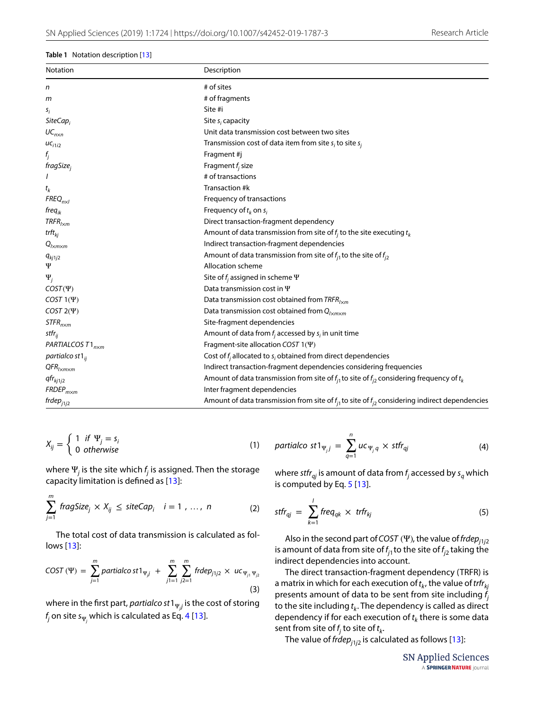#### <span id="page-2-0"></span>**Table 1** Notation description [[13\]](#page-9-3)

| Notation                                               | Description                                                                                             |  |  |  |  |  |
|--------------------------------------------------------|---------------------------------------------------------------------------------------------------------|--|--|--|--|--|
| n                                                      | # of sites                                                                                              |  |  |  |  |  |
| т                                                      | # of fragments                                                                                          |  |  |  |  |  |
| s <sub>i</sub>                                         | Site #i                                                                                                 |  |  |  |  |  |
| $SiteCap_i$                                            | Site $s_i$ capacity                                                                                     |  |  |  |  |  |
| $UC_{n\times n}$                                       | Unit data transmission cost between two sites                                                           |  |  |  |  |  |
| $uc_{i1i2}$                                            | Transmission cost of data item from site $s_i$ to site $s_i$                                            |  |  |  |  |  |
| $f_j$                                                  | Fragment #j                                                                                             |  |  |  |  |  |
| fragSize <sub>i</sub>                                  | Fragment $f_i$ size                                                                                     |  |  |  |  |  |
|                                                        | # of transactions                                                                                       |  |  |  |  |  |
| $t_k$                                                  | Transaction #k                                                                                          |  |  |  |  |  |
| $FREQ_{n\times l}$                                     | Frequency of transactions                                                                               |  |  |  |  |  |
| fre $q_{ik}$                                           | Frequency of $t_k$ on $s_i$                                                                             |  |  |  |  |  |
| $TRFR_{l \times m}$                                    | Direct transaction-fragment dependency                                                                  |  |  |  |  |  |
| trft <sub>ki</sub>                                     | Amount of data transmission from site of $f_i$ to the site executing $t_k$                              |  |  |  |  |  |
| $Q_{l \times m \times m}$                              | Indirect transaction-fragment dependencies                                                              |  |  |  |  |  |
| $q_{kj1j2}$                                            | Amount of data transmission from site of $f_{i1}$ to the site of $f_{i2}$                               |  |  |  |  |  |
| Ψ                                                      | Allocation scheme                                                                                       |  |  |  |  |  |
| $\Psi_j$                                               | Site of $f_i$ assigned in scheme $\Psi$                                                                 |  |  |  |  |  |
| $COST(\Psi)$                                           | Data transmission cost in $\Psi$                                                                        |  |  |  |  |  |
| COST $1(\Psi)$                                         | Data transmission cost obtained from $TRFR_{l \times m}$                                                |  |  |  |  |  |
| COST $2(\Psi)$                                         | Data transmission cost obtained from $Q_{l \times m \times m}$                                          |  |  |  |  |  |
| $STFR$ <sub>n<math>\times</math>m</sub>                | Site-fragment dependencies                                                                              |  |  |  |  |  |
| stfr <sub>ij</sub>                                     | Amount of data from $f_i$ accessed by $s_i$ in unit time                                                |  |  |  |  |  |
| PARTIALCOS T1 <sub>nxm</sub>                           | Fragment-site allocation COST $1(\Psi)$                                                                 |  |  |  |  |  |
| partialco st $1_{ii}$                                  | Cost of $f_i$ allocated to $s_i$ obtained from direct dependencies                                      |  |  |  |  |  |
| $QFR$ <sub><math>\mu</math>m<math>\times</math>m</sub> | Indirect transaction-fragment dependencies considering frequencies                                      |  |  |  |  |  |
| qfr <sub>kj1j2</sub>                                   | Amount of data transmission from site of $f_{i1}$ to site of $f_{i2}$ considering frequency of $t_k$    |  |  |  |  |  |
| $FRDEP_{m\times m}$                                    | Inter fragment dependencies                                                                             |  |  |  |  |  |
| frdep <sub>j1j2</sub>                                  | Amount of data transmission from site of $f_{i1}$ to site of $f_{i2}$ considering indirect dependencies |  |  |  |  |  |

$$
X_{ij} = \begin{cases} 1 & \text{if } \Psi_j = s_i \\ 0 & \text{otherwise} \end{cases}
$$
 (1)

where  $\Psi_j$  is the site which  $f_j$  is assigned. Then the storage capacity limitation is defned as [\[13\]](#page-9-3):

$$
\sum_{j=1}^{m} \text{fragSize}_j \times X_{ij} \le \text{siteCap}_i \quad i = 1, \dots, n \tag{2}
$$

The total cost of data transmission is calculated as follows [\[13\]](#page-9-3):

$$
COST (\Psi) = \sum_{j=1}^{m} \text{partial} \cos t \mathbf{1}_{\Psi_{j}^{j}} + \sum_{j=1}^{m} \sum_{j=1}^{m} \text{f}r \, \text{de} \, p_{j1j2} \times u \, c_{\Psi_{j1} \Psi_{j2}} \tag{3}
$$

where in the first part, *partialco st* 1 $_{\Psi_j j}$  is the cost of storing  $f_{\!j}$  on site s $_{\Psi_{\!j}}$  which is calculated as Eq. [4](#page-2-1) [\[13\]](#page-9-3).

$$
partial \cot \theta_{\Psi_j j} = \sum_{q=1}^n u c_{\Psi_j q} \times \text{stfr}_{qj}
$$
 (4)

<span id="page-2-1"></span>where stfr<sub>qj</sub> is amount of data from  $f_j$  accessed by  $s_q$  which is computed by Eq. [5](#page-2-2) [[13\]](#page-9-3).

$$
stfr_{qj} = \sum_{k=1}^{j} freq_{qk} \times trfr_{kj}
$$
 (5)

Also in the second part of COST (Ψ), the value of frde $p_{j1j2}$ is amount of data from site of  $f_{j1}$  to the site of  $f_{j2}$  taking the indirect dependencies into account.

<span id="page-2-3"></span>The direct transaction-fragment dependency (TRFR) is a matrix in which for each execution of  $t_k$ , the value of trfr $_{kj}$ presents amount of data to be sent from site including  $f_i$ to the site including  $t_k$ . The dependency is called as direct dependency if for each execution of  $t_k$  there is some data sent from site of  $f_j$  to site of  $t_k$ .

The value of frde $p_{j1j2}$  is calculated as follows [\[13\]](#page-9-3):

<span id="page-2-2"></span>**SN Applied Sciences** A SPRINGER NATURE journal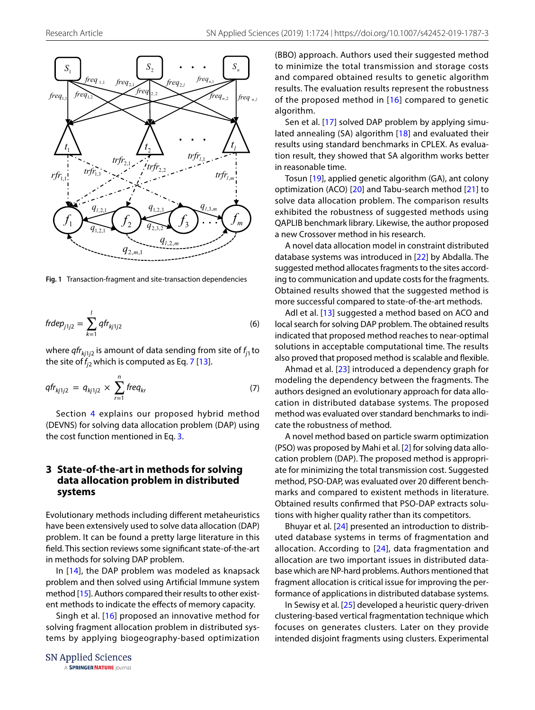

<span id="page-3-1"></span>**Fig. 1** Transaction-fragment and site-transaction dependencies

$$
frdep_{j1j2} = \sum_{k=1}^{l} qfr_{kj1j2} \tag{6}
$$

where  $qfr_{kj1j2}$  is amount of data sending from site of  $f_{j1}$  to the site of  $f_{i2}$  which is computed as Eq. [7](#page-3-2) [[13\]](#page-9-3).

$$
qfr_{kj1j2} = q_{kj1j2} \times \sum_{r=1}^{n} freq_{kr}
$$
 (7)

Section [4](#page-4-0) explains our proposed hybrid method (DEVNS) for solving data allocation problem (DAP) using the cost function mentioned in Eq. [3.](#page-2-3)

## <span id="page-3-0"></span>**3 State‑of‑the‑art in methods for solving data allocation problem in distributed systems**

Evolutionary methods including diferent metaheuristics have been extensively used to solve data allocation (DAP) problem. It can be found a pretty large literature in this feld. This section reviews some signifcant state-of-the-art in methods for solving DAP problem.

In [[14\]](#page-9-4), the DAP problem was modeled as knapsack problem and then solved using Artifcial Immune system method [\[15\]](#page-9-5). Authors compared their results to other existent methods to indicate the efects of memory capacity.

Singh et al. [[16\]](#page-9-6) proposed an innovative method for solving fragment allocation problem in distributed systems by applying biogeography-based optimization

**SN Applied Sciences** A SPRINGER NATURE journal (BBO) approach. Authors used their suggested method to minimize the total transmission and storage costs and compared obtained results to genetic algorithm results. The evaluation results represent the robustness of the proposed method in [[16\]](#page-9-6) compared to genetic algorithm.

Sen et al. [[17](#page-9-7)] solved DAP problem by applying simulated annealing (SA) algorithm [[18](#page-9-8)] and evaluated their results using standard benchmarks in CPLEX. As evaluation result, they showed that SA algorithm works better in reasonable time.

Tosun [[19](#page-9-9)], applied genetic algorithm (GA), ant colony optimization (ACO) [[20](#page-9-10)] and Tabu-search method [[21](#page-9-11)] to solve data allocation problem. The comparison results exhibited the robustness of suggested methods using QAPLIB benchmark library. Likewise, the author proposed a new Crossover method in his research.

A novel data allocation model in constraint distributed database systems was introduced in [[22](#page-9-12)] by Abdalla. The suggested method allocates fragments to the sites according to communication and update costs for the fragments. Obtained results showed that the suggested method is more successful compared to state-of-the-art methods.

Adl et al. [[13](#page-9-3)] suggested a method based on ACO and local search for solving DAP problem. The obtained results indicated that proposed method reaches to near-optimal solutions in acceptable computational time. The results also proved that proposed method is scalable and fexible.

<span id="page-3-2"></span>Ahmad et al. [[23\]](#page-9-13) introduced a dependency graph for modeling the dependency between the fragments. The authors designed an evolutionary approach for data allocation in distributed database systems. The proposed method was evaluated over standard benchmarks to indicate the robustness of method.

A novel method based on particle swarm optimization (PSO) was proposed by Mahi et al. [\[2](#page-8-1)] for solving data allocation problem (DAP). The proposed method is appropriate for minimizing the total transmission cost. Suggested method, PSO-DAP, was evaluated over 20 diferent benchmarks and compared to existent methods in literature. Obtained results confrmed that PSO-DAP extracts solutions with higher quality rather than its competitors.

Bhuyar et al. [[24\]](#page-9-14) presented an introduction to distributed database systems in terms of fragmentation and allocation. According to [[24\]](#page-9-14), data fragmentation and allocation are two important issues in distributed database which are NP-hard problems. Authors mentioned that fragment allocation is critical issue for improving the performance of applications in distributed database systems.

In Sewisy et al. [[25\]](#page-9-15) developed a heuristic query-driven clustering-based vertical fragmentation technique which focuses on generates clusters. Later on they provide intended disjoint fragments using clusters. Experimental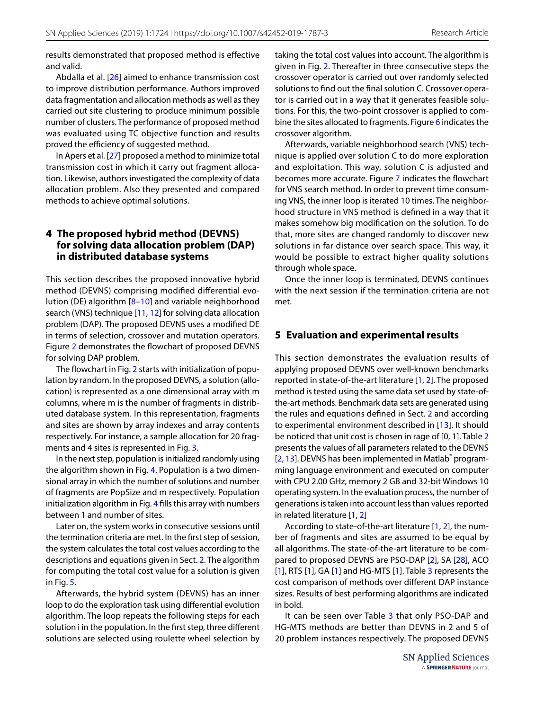results demonstrated that proposed method is efective and valid.

Abdalla et al. [\[26](#page-9-16)] aimed to enhance transmission cost to improve distribution performance. Authors improved data fragmentation and allocation methods as well as they carried out site clustering to produce minimum possible number of clusters. The performance of proposed method was evaluated using TC objective function and results proved the efficiency of suggested method.

In Apers et al. [[27\]](#page-9-17) proposed a method to minimize total transmission cost in which it carry out fragment allocation. Likewise, authors investigated the complexity of data allocation problem. Also they presented and compared methods to achieve optimal solutions.

## <span id="page-4-0"></span>**4 The proposed hybrid method (DEVNS) for solving data allocation problem (DAP) in distributed database systems**

This section describes the proposed innovative hybrid method (DEVNS) comprising modifed diferential evolution (DE) algorithm [[8](#page-8-6)[–10\]](#page-9-0) and variable neighborhood search (VNS) technique [[11,](#page-9-1) [12](#page-9-2)] for solving data allocation problem (DAP). The proposed DEVNS uses a modifed DE in terms of selection, crossover and mutation operators. Figure [2](#page-5-0) demonstrates the flowchart of proposed DEVNS for solving DAP problem.

The flowchart in Fig. [2](#page-5-0) starts with initialization of population by random. In the proposed DEVNS, a solution (allocation) is represented as a one dimensional array with m columns, where m is the number of fragments in distributed database system. In this representation, fragments and sites are shown by array indexes and array contents respectively. For instance, a sample allocation for 20 fragments and 4 sites is represented in Fig. [3.](#page-5-1)

In the next step, population is initialized randomly using the algorithm shown in Fig. [4.](#page-6-0) Population is a two dimensional array in which the number of solutions and number of fragments are PopSize and m respectively. Population initialization algorithm in Fig. [4](#page-6-0) fills this array with numbers between 1 and number of sites.

Later on, the system works in consecutive sessions until the termination criteria are met. In the frst step of session, the system calculates the total cost values according to the descriptions and equations given in Sect. [2](#page-1-0). The algorithm for computing the total cost value for a solution is given in Fig. [5.](#page-6-1)

Afterwards, the hybrid system (DEVNS) has an inner loop to do the exploration task using diferential evolution algorithm. The loop repeats the following steps for each solution i in the population. In the first step, three different solutions are selected using roulette wheel selection by taking the total cost values into account. The algorithm is given in Fig. [2](#page-5-0). Thereafter in three consecutive steps the crossover operator is carried out over randomly selected solutions to fnd out the fnal solution C. Crossover operator is carried out in a way that it generates feasible solutions. For this, the two-point crossover is applied to combine the sites allocated to fragments. Figure [6](#page-6-2) indicates the crossover algorithm.

Afterwards, variable neighborhood search (VNS) technique is applied over solution C to do more exploration and exploitation. This way, solution C is adjusted and becomes more accurate. Figure [7](#page-7-1) indicates the fowchart for VNS search method. In order to prevent time consuming VNS, the inner loop is iterated 10 times. The neighborhood structure in VNS method is defned in a way that it makes somehow big modifcation on the solution. To do that, more sites are changed randomly to discover new solutions in far distance over search space. This way, it would be possible to extract higher quality solutions through whole space.

Once the inner loop is terminated, DEVNS continues with the next session if the termination criteria are not met.

## <span id="page-4-1"></span>**5 Evaluation and experimental results**

This section demonstrates the evaluation results of applying proposed DEVNS over well-known benchmarks reported in state-of-the-art literature [\[1](#page-8-0), [2\]](#page-8-1). The proposed method is tested using the same data set used by state-ofthe-art methods. Benchmark data sets are generated using the rules and equations defned in Sect. [2](#page-1-0) and according to experimental environment described in [\[13\]](#page-9-3). It should be noticed that unit cost is chosen in rage of [0, 1]. Table [2](#page-7-2) presents the values of all parameters related to the DEVNS [[2](#page-8-1), [13](#page-9-3)]. DEVNS has been implemented in Matlab<sup>®</sup> programming language environment and executed on computer with CPU 2.00 GHz, memory 2 GB and 32-bit Windows 10 operating system. In the evaluation process, the number of generations is taken into account less than values reported in related literature [\[1](#page-8-0), [2\]](#page-8-1)

According to state-of-the-art literature [[1](#page-8-0), [2](#page-8-1)], the number of fragments and sites are assumed to be equal by all algorithms. The state-of-the-art literature to be compared to proposed DEVNS are PSO-DAP [[2\]](#page-8-1), SA [[28](#page-9-18)], ACO [[1](#page-8-0)], RTS [\[1](#page-8-0)], GA [1] and HG-MTS [1]. Table [3](#page-7-3) represents the cost comparison of methods over diferent DAP instance sizes. Results of best performing algorithms are indicated in bold.

It can be seen over Table [3](#page-7-3) that only PSO-DAP and HG-MTS methods are better than DEVNS in 2 and 5 of 20 problem instances respectively. The proposed DEVNS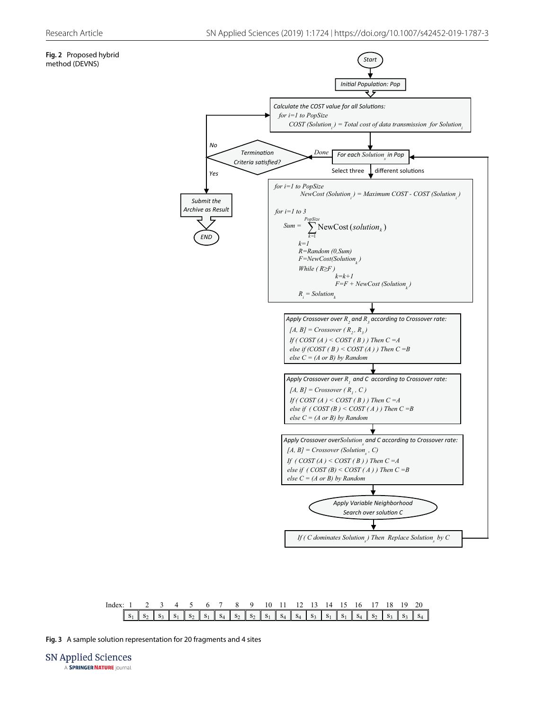## <span id="page-5-0"></span>**Fig. 2** Proposed hybrid





<span id="page-5-1"></span>**Fig. 3** A sample solution representation for 20 fragments and 4 sites

**SN Applied Sciences** A SPRINGER NATURE journal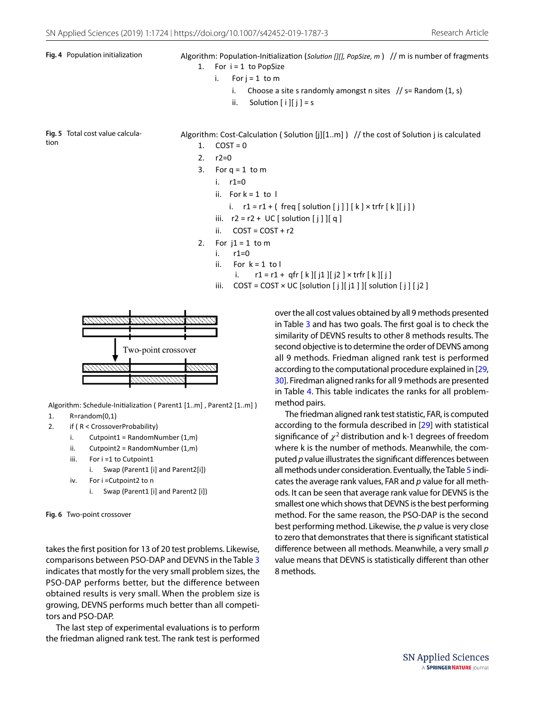- <span id="page-6-0"></span>Fig. 4 Population initialization **Algorithm: Population-Initialization** (*Solution [][], PopSize, m* ) // m is number of fragments 1. For  $i = 1$  to PopSize
	- i. For  $j = 1$  to m
		- i. Choose a site s randomly amongst n sites  $\frac{1}{s}$  s Random  $(1, s)$
		- ii. Solution  $[i][j] = s$

<span id="page-6-1"></span>**Fig. 5** Total cost value calculation

Algorithm: Cost-Calculation ( Solution  $[j][1..m]$  ) // the cost of Solution j is calculated  $1$   $COST = 0$ 

- 2.  $r2=0$
- 3. For  $q = 1$  to m
	- i. r1=0
	- ii. For  $k = 1$  to  $l$
	- i.  $r1 = r1 + (freq [ solution [j]][k] \times trfr[k][j])$
	- iii.  $r2 = r2 + UC$  [ solution  $[j]$  ][ q ]
	- ii.  $COST = COST + r2$
- 2. For  $i1 = 1$  to m
	- i. r1=0
	- ii. For  $k = 1$  to  $l$
	- i.  $r1 = r1 + qfr [k][j1][j2] \times trfr [k][j]$
	- iii.  $COST = COST \times UC$  [solution [ j ][ j1 ] ][ solution [ j ] [ j2 ]



Algorithm: Schedule-Initialization ( Parent1 [1.m], Parent2 [1.m])

- 1. R=random(0,1)
- 2. if ( R < CrossoverProbability)
	- i. Cutpoint1 = RandomNumber  $(1,m)$
	- ii. Cutpoint2 = RandomNumber (1,m)
	- iii. For i =1 to Cutpoint1
		- i. Swap (Parent1 [i] and Parent2[i])
	- iv. For i =Cutpoint2 to n
		- i. Swap (Parent1 [i] and Parent2 [i])

```
Fig. 6 Two-point crossover
```
takes the frst position for 13 of 20 test problems. Likewise, comparisons between PSO-DAP and DEVNS in the Table [3](#page-7-3) indicates that mostly for the very small problem sizes, the PSO-DAP performs better, but the diference between obtained results is very small. When the problem size is growing, DEVNS performs much better than all competitors and PSO-DAP.

The last step of experimental evaluations is to perform the friedman aligned rank test. The rank test is performed over the all cost values obtained by all 9 methods presented in Table [3](#page-7-3) and has two goals. The frst goal is to check the similarity of DEVNS results to other 8 methods results. The second objective is to determine the order of DEVNS among all 9 methods. Friedman aligned rank test is performed according to the computational procedure explained in [\[29](#page-9-19), [30](#page-9-20)]. Firedman aligned ranks for all 9 methods are presented in Table [4.](#page-8-7) This table indicates the ranks for all problemmethod pairs.

The friedman aligned rank test statistic, FAR, is computed according to the formula described in [[29](#page-9-19)] with statistical significance of  $\chi^2$  distribution and k-1 degrees of freedom where k is the number of methods. Meanwhile, the computed *p* value illustrates the signifcant diferences between all methods under consideration. Eventually, the Table [5](#page-8-8) indicates the average rank values, FAR and *p* value for all methods. It can be seen that average rank value for DEVNS is the smallest one which shows that DEVNS is the best performing method. For the same reason, the PSO-DAP is the second best performing method. Likewise, the *p* value is very close to zero that demonstrates that there is signifcant statistical diference between all methods. Meanwhile, a very small *p* value means that DEVNS is statistically diferent than other 8 methods.

> **SN Applied Sciences** A SPRINGER NATURE journal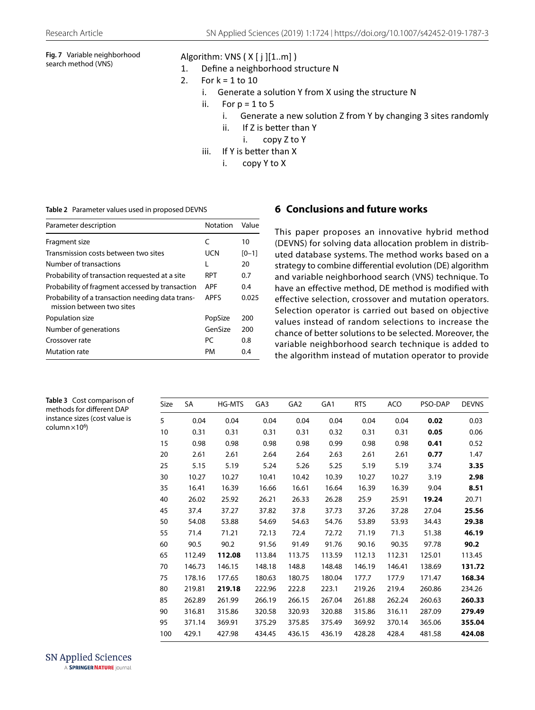# <span id="page-7-1"></span>**Fig. 7** Variable neighborhood search method (VNS)

# Algorithm: VNS  $(X[j][1..m])$ <br>1. Define a neighborhood s

- Define a neighborhood structure N
- 2. For  $k = 1$  to 10
	- i. Generate a solution Y from X using the structure N
	- ii. For  $p = 1$  to 5
		- i. Generate a new solution Z from Y by changing 3 sites randomly
		- $ii.$  If Z is better than Y
			- i. copy Z to Y
	- iii. If Y is better than  $X$ 
		- i. copy Y to X

#### <span id="page-7-2"></span>**Table 2** Parameter values used in proposed DEVNS

| Parameter description                                                         | Notation    | Value   |
|-------------------------------------------------------------------------------|-------------|---------|
| Fragment size                                                                 | C           | 10      |
| Transmission costs between two sites                                          | UCN         | $[0-1]$ |
| Number of transactions                                                        | L           | 20      |
| Probability of transaction requested at a site                                | <b>RPT</b>  | 0.7     |
| Probability of fragment accessed by transaction                               | <b>APF</b>  | 0.4     |
| Probability of a transaction needing data trans-<br>mission between two sites | <b>APFS</b> | 0.025   |
| Population size                                                               | PopSize     | 200     |
| Number of generations                                                         | GenSize     | 200     |
| Crossover rate                                                                | PC          | 0.8     |
| <b>Mutation rate</b>                                                          | <b>PM</b>   | 0.4     |

## <span id="page-7-0"></span>**6 Conclusions and future works**

This paper proposes an innovative hybrid method (DEVNS) for solving data allocation problem in distributed database systems. The method works based on a strategy to combine differential evolution (DE) algorithm and variable neighborhood search (VNS) technique. To have an effective method, DE method is modified with effective selection, crossover and mutation operators. Selection operator is carried out based on objective values instead of random selections to increase the chance of better solutions to be selected. Moreover, the variable neighborhood search technique is added to the algorithm instead of mutation operator to provide

| Size | SA     | <b>HG-MTS</b> | GA3    | GA <sub>2</sub> | GA <sub>1</sub> | <b>RTS</b> | <b>ACO</b> | PSO-DAP | <b>DEVNS</b> |
|------|--------|---------------|--------|-----------------|-----------------|------------|------------|---------|--------------|
| 5    | 0.04   | 0.04          | 0.04   | 0.04            | 0.04            | 0.04       | 0.04       | 0.02    | 0.03         |
| 10   | 0.31   | 0.31          | 0.31   | 0.31            | 0.32            | 0.31       | 0.31       | 0.05    | 0.06         |
| 15   | 0.98   | 0.98          | 0.98   | 0.98            | 0.99            | 0.98       | 0.98       | 0.41    | 0.52         |
| 20   | 2.61   | 2.61          | 2.64   | 2.64            | 2.63            | 2.61       | 2.61       | 0.77    | 1.47         |
| 25   | 5.15   | 5.19          | 5.24   | 5.26            | 5.25            | 5.19       | 5.19       | 3.74    | 3.35         |
| 30   | 10.27  | 10.27         | 10.41  | 10.42           | 10.39           | 10.27      | 10.27      | 3.19    | 2.98         |
| 35   | 16.41  | 16.39         | 16.66  | 16.61           | 16.64           | 16.39      | 16.39      | 9.04    | 8.51         |
| 40   | 26.02  | 25.92         | 26.21  | 26.33           | 26.28           | 25.9       | 25.91      | 19.24   | 20.71        |
| 45   | 37.4   | 37.27         | 37.82  | 37.8            | 37.73           | 37.26      | 37.28      | 27.04   | 25.56        |
| 50   | 54.08  | 53.88         | 54.69  | 54.63           | 54.76           | 53.89      | 53.93      | 34.43   | 29.38        |
| 55   | 71.4   | 71.21         | 72.13  | 72.4            | 72.72           | 71.19      | 71.3       | 51.38   | 46.19        |
| 60   | 90.5   | 90.2          | 91.56  | 91.49           | 91.76           | 90.16      | 90.35      | 97.78   | 90.2         |
| 65   | 112.49 | 112.08        | 113.84 | 113.75          | 113.59          | 112.13     | 112.31     | 125.01  | 113.45       |
| 70   | 146.73 | 146.15        | 148.18 | 148.8           | 148.48          | 146.19     | 146.41     | 138.69  | 131.72       |
| 75   | 178.16 | 177.65        | 180.63 | 180.75          | 180.04          | 177.7      | 177.9      | 171.47  | 168.34       |
| 80   | 219.81 | 219.18        | 222.96 | 222.8           | 223.1           | 219.26     | 219.4      | 260.86  | 234.26       |
| 85   | 262.89 | 261.99        | 266.19 | 266.15          | 267.04          | 261.88     | 262.24     | 260.63  | 260.33       |
| 90   | 316.81 | 315.86        | 320.58 | 320.93          | 320.88          | 315.86     | 316.11     | 287.09  | 279.49       |
| 95   | 371.14 | 369.91        | 375.29 | 375.85          | 375.49          | 369.92     | 370.14     | 365.06  | 355.04       |
| 100  | 429.1  | 427.98        | 434.45 | 436.15          | 436.19          | 428.28     | 428.4      | 481.58  | 424.08       |

**SN Applied Sciences** A SPRINGER NATURE journal

<span id="page-7-3"></span>**Table 3** Cost comparison of methods for diferent DAP instance sizes (cost value is

 $column \times 10^6$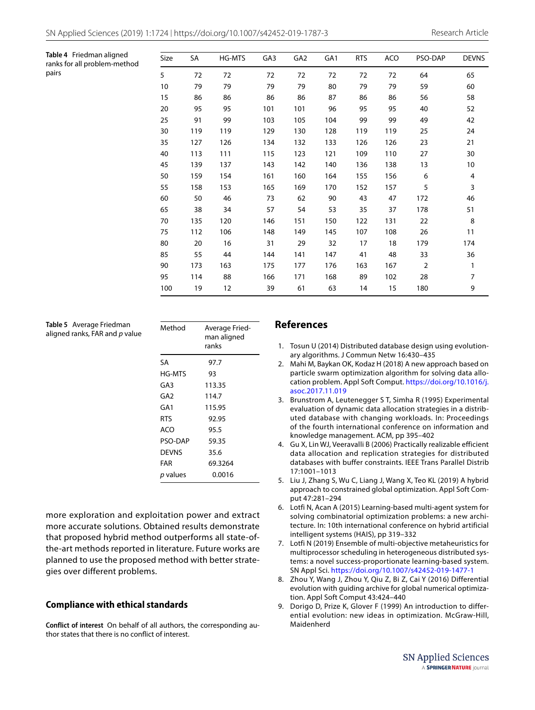<span id="page-8-7"></span>

| Table 4 Friedman aligned<br>ranks for all problem-method | Size | SA  | HG-MTS | GA3 | GA <sub>2</sub> | GA <sub>1</sub> | <b>RTS</b> | ACO | PSO-DAP | <b>DEVNS</b> |
|----------------------------------------------------------|------|-----|--------|-----|-----------------|-----------------|------------|-----|---------|--------------|
| pairs                                                    | 5    | 72  | 72     | 72  | 72              | 72              | 72         | 72  | 64      | 65           |
|                                                          | 10   | 79  | 79     | 79  | 79              | 80              | 79         | 79  | 59      | 60           |
|                                                          | 15   | 86  | 86     | 86  | 86              | 87              | 86         | 86  | 56      | 58           |
|                                                          | 20   | 95  | 95     | 101 | 101             | 96              | 95         | 95  | 40      | 52           |
|                                                          | 25   | 91  | 99     | 103 | 105             | 104             | 99         | 99  | 49      | 42           |
|                                                          | 30   | 119 | 119    | 129 | 130             | 128             | 119        | 119 | 25      | 24           |
|                                                          | 35   | 127 | 126    | 134 | 132             | 133             | 126        | 126 | 23      | 21           |
|                                                          | 40   | 113 | 111    | 115 | 123             | 121             | 109        | 110 | 27      | 30           |
|                                                          | 45   | 139 | 137    | 143 | 142             | 140             | 136        | 138 | 13      | 10           |
|                                                          | 50   | 159 | 154    | 161 | 160             | 164             | 155        | 156 | 6       | 4            |
|                                                          | 55   | 158 | 153    | 165 | 169             | 170             | 152        | 157 | 5       | 3            |
|                                                          | 60   | 50  | 46     | 73  | 62              | 90              | 43         | 47  | 172     | 46           |
|                                                          | 65   | 38  | 34     | 57  | 54              | 53              | 35         | 37  | 178     | 51           |
|                                                          | 70   | 135 | 120    | 146 | 151             | 150             | 122        | 131 | 22      | 8            |
|                                                          | 75   | 112 | 106    | 148 | 149             | 145             | 107        | 108 | 26      | 11           |
|                                                          | 80   | 20  | 16     | 31  | 29              | 32              | 17         | 18  | 179     | 174          |
|                                                          | 85   | 55  | 44     | 144 | 141             | 147             | 41         | 48  | 33      | 36           |
|                                                          | 90   | 173 | 163    | 175 | 177             | 176             | 163        | 167 | 2       | 1            |
|                                                          | 95   | 114 | 88     | 166 | 171             | 168             | 89         | 102 | 28      | 7            |
|                                                          | 100  | 19  | 12     | 39  | 61              | 63              | 14         | 15  | 180     | 9            |

<span id="page-8-8"></span>**Table 5** Average Friedman aligned ranks, FAR and *p* value

| Method     | Average Fried-<br>man aligned<br>ranks |
|------------|----------------------------------------|
| SA         | 97.7                                   |
| HG-MTS     | 93                                     |
| GA3        | 113.35                                 |
| GA2        | 114.7                                  |
| GA1        | 115.95                                 |
| <b>RTS</b> | 92.95                                  |
| ACO        | 95.5                                   |
| PSO-DAP    | 59.35                                  |
| DEVNS      | 35.6                                   |
| FAR        | 69.3264                                |
| p values   | 0.0016                                 |

more exploration and exploitation power and extract more accurate solutions. Obtained results demonstrate that proposed hybrid method outperforms all state-ofthe-art methods reported in literature. Future works are planned to use the proposed method with better strategies over different problems.

## **Compliance with ethical standards**

**Conflict of interest** On behalf of all authors, the corresponding author states that there is no confict of interest.

#### **References**

- <span id="page-8-0"></span>1. Tosun U (2014) Distributed database design using evolutionary algorithms. J Commun Netw 16:430–435
- <span id="page-8-1"></span>2. Mahi M, Baykan OK, Kodaz H (2018) A new approach based on particle swarm optimization algorithm for solving data allocation problem. Appl Soft Comput. [https://doi.org/10.1016/j.](https://doi.org/10.1016/j.asoc.2017.11.019) [asoc.2017.11.019](https://doi.org/10.1016/j.asoc.2017.11.019)
- <span id="page-8-2"></span>3. Brunstrom A, Leutenegger S T, Simha R (1995) Experimental evaluation of dynamic data allocation strategies in a distributed database with changing workloads. In: Proceedings of the fourth international conference on information and knowledge management. ACM, pp 395–402
- <span id="page-8-3"></span>4. Gu X, Lin WJ, Veeravalli B (2006) Practically realizable efficient data allocation and replication strategies for distributed databases with buffer constraints. IEEE Trans Parallel Distrib 17:1001–1013
- <span id="page-8-4"></span>5. Liu J, Zhang S, Wu C, Liang J, Wang X, Teo KL (2019) A hybrid approach to constrained global optimization. Appl Soft Comput 47:281–294
- 6. Lotfi N, Acan A (2015) Learning-based multi-agent system for solving combinatorial optimization problems: a new architecture. In: 10th international conference on hybrid artificial intelligent systems (HAIS), pp 319–332
- <span id="page-8-5"></span>7. Lotfi N (2019) Ensemble of multi-objective metaheuristics for multiprocessor scheduling in heterogeneous distributed systems: a novel success-proportionate learning-based system. SN Appl Sci. <https://doi.org/10.1007/s42452-019-1477-1>
- <span id="page-8-6"></span>8. Zhou Y, Wang J, Zhou Y, Qiu Z, Bi Z, Cai Y (2016) Differential evolution with guiding archive for global numerical optimization. Appl Soft Comput 43:424–440
- 9. Dorigo D, Prize K, Glover F (1999) An introduction to differential evolution: new ideas in optimization. McGraw-Hill, Maidenherd